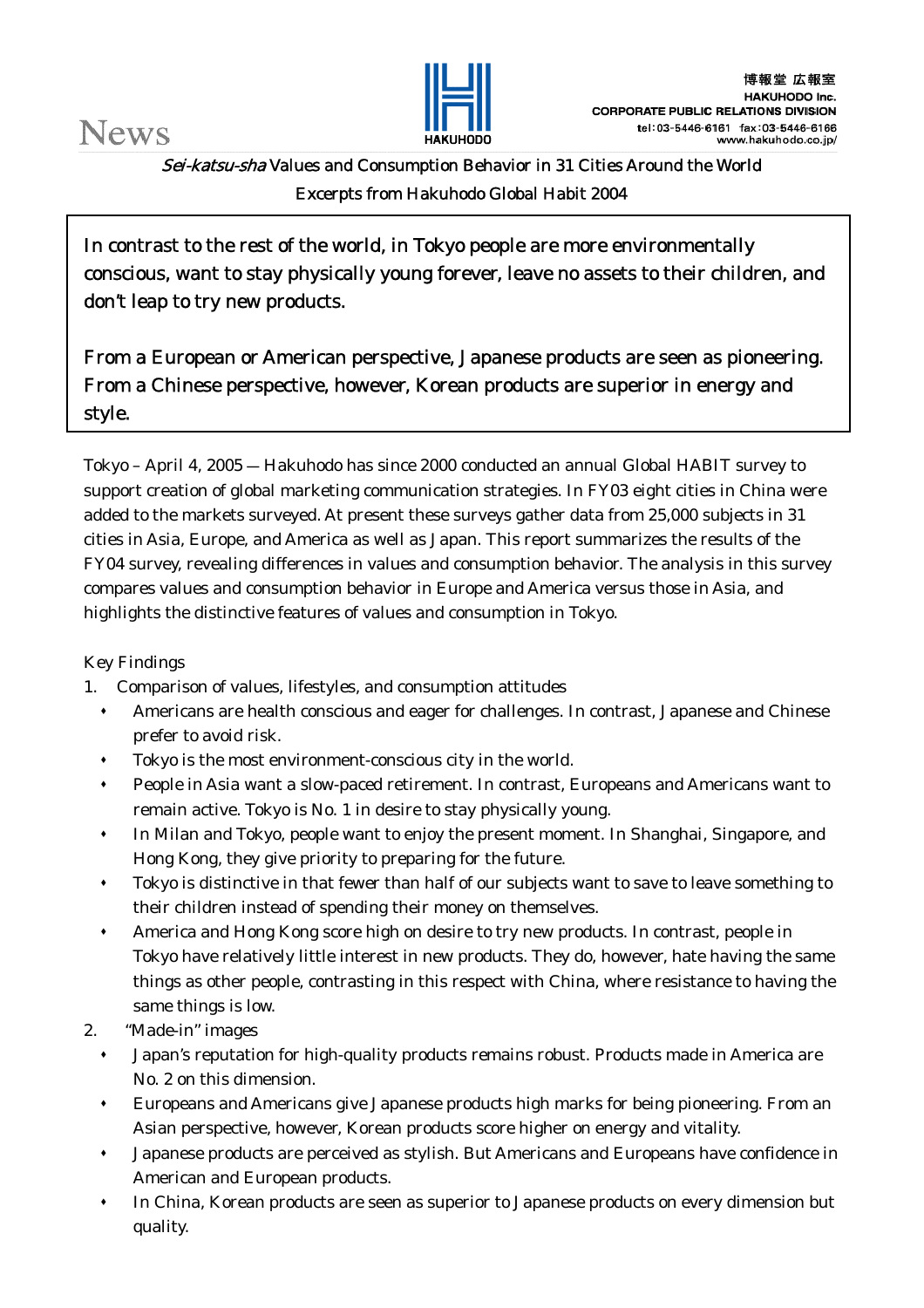

Sei-katsu-sha Values and Consumption Behavior in 31 Cities Around the World Excerpts from Hakuhodo Global Habit 2004

In contrast to the rest of the world, in Tokyo people are more environmentally conscious, want to stay physically young forever, leave no assets to their children, and don't leap to try new products.

From a European or American perspective, Japanese products are seen as pioneering. From a Chinese perspective, however, Korean products are superior in energy and style.

Tokyo – April 4, 2005 ― Hakuhodo has since 2000 conducted an annual Global HABIT survey to support creation of global marketing communication strategies. In FY03 eight cities in China were added to the markets surveyed. At present these surveys gather data from 25,000 subjects in 31 cities in Asia, Europe, and America as well as Japan. This report summarizes the results of the FY04 survey, revealing differences in values and consumption behavior. The analysis in this survey compares values and consumption behavior in Europe and America versus those in Asia, and highlights the distinctive features of values and consumption in Tokyo.

# Key Findings

- 1. Comparison of values, lifestyles, and consumption attitudes
	- Americans are health conscious and eager for challenges. In contrast, Japanese and Chinese prefer to avoid risk.
	- Tokyo is the most environment-conscious city in the world.
	- People in Asia want a slow-paced retirement. In contrast, Europeans and Americans want to remain active. Tokyo is No. 1 in desire to stay physically young.
	- In Milan and Tokyo, people want to enjoy the present moment. In Shanghai, Singapore, and Hong Kong, they give priority to preparing for the future.
	- Tokyo is distinctive in that fewer than half of our subjects want to save to leave something to their children instead of spending their money on themselves.
	- America and Hong Kong score high on desire to try new products. In contrast, people in Tokyo have relatively little interest in new products. They do, however, hate having the same things as other people, contrasting in this respect with China, where resistance to having the same things is low.
- 2. "Made-in" images
	- Japan's reputation for high-quality products remains robust. Products made in America are No. 2 on this dimension.
	- Europeans and Americans give Japanese products high marks for being pioneering. From an Asian perspective, however, Korean products score higher on energy and vitality.
	- Japanese products are perceived as stylish. But Americans and Europeans have confidence in American and European products.
	- In China, Korean products are seen as superior to Japanese products on every dimension but quality.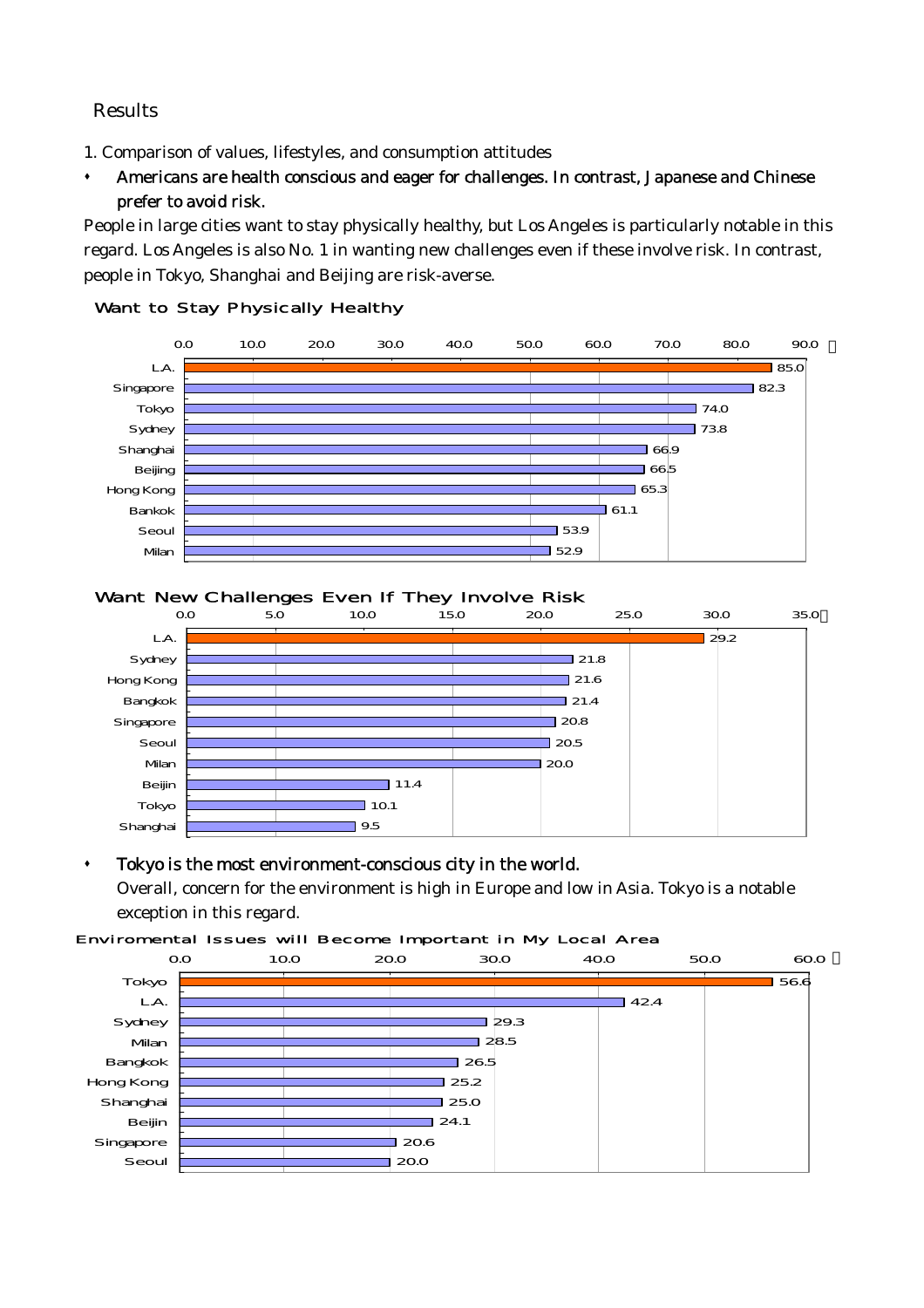## Results

- 1. Comparison of values, lifestyles, and consumption attitudes
- Americans are health conscious and eager for challenges. In contrast, Japanese and Chinese prefer to avoid risk.

People in large cities want to stay physically healthy, but Los Angeles is particularly notable in this regard. Los Angeles is also No. 1 in wanting new challenges even if these involve risk. In contrast, people in Tokyo, Shanghai and Beijing are risk-averse.



### Want to Stay Physically Healthy

## Want New Challenges Even If They Involve Risk



## Tokyo is the most environment-conscious city in the world.

Overall, concern for the environment is high in Europe and low in Asia. Tokyo is a notable exception in this regard.

#### Enviromental Issues will Become Important in My Local Area

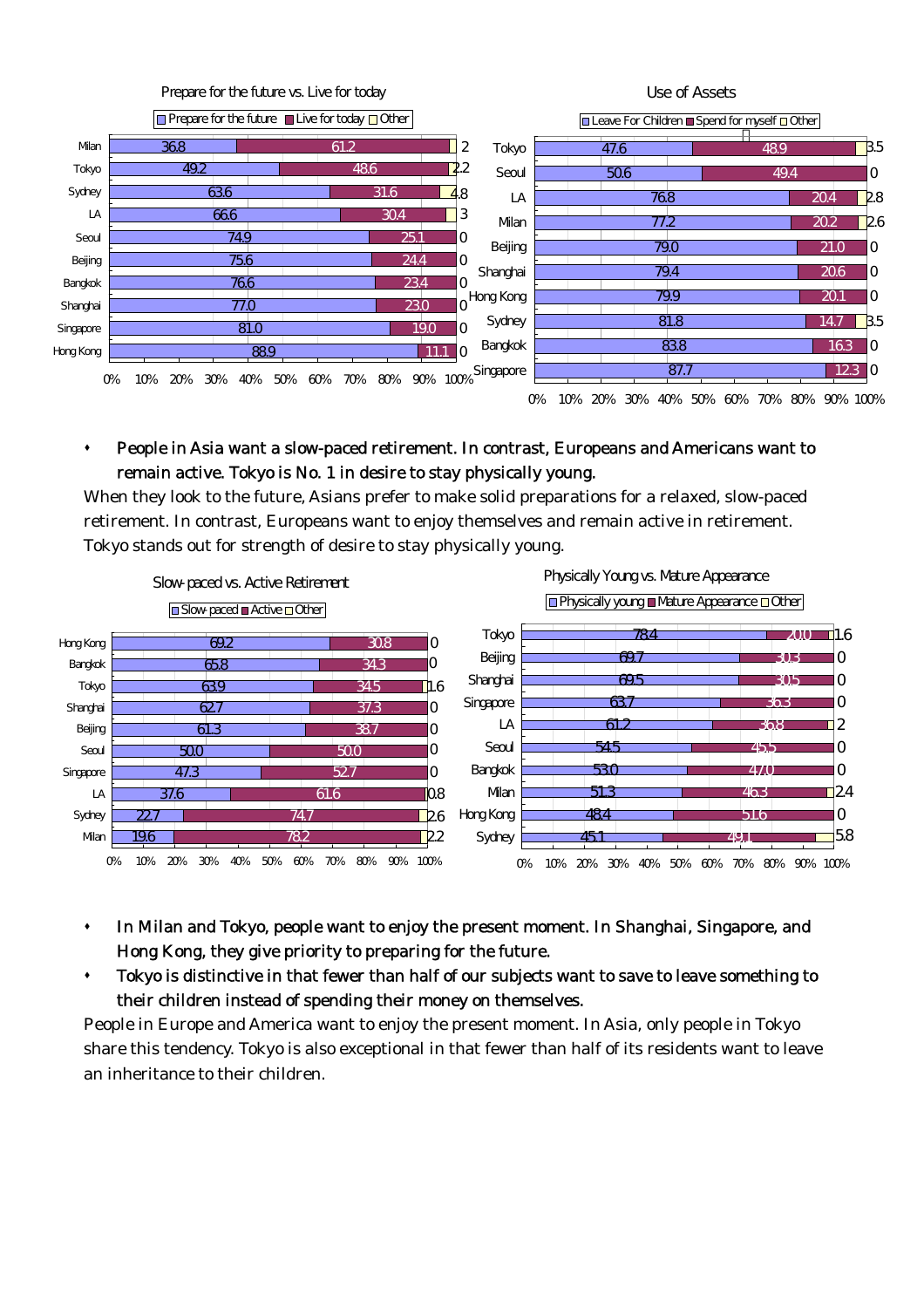

## People in Asia want a slow-paced retirement. In contrast, Europeans and Americans want to remain active. Tokyo is No. 1 in desire to stay physically young.

When they look to the future, Asians prefer to make solid preparations for a relaxed, slow-paced retirement. In contrast, Europeans want to enjoy themselves and remain active in retirement. Tokyo stands out for strength of desire to stay physically young.



- In Milan and Tokyo, people want to enjoy the present moment. In Shanghai, Singapore, and Hong Kong, they give priority to preparing for the future.
- Tokyo is distinctive in that fewer than half of our subjects want to save to leave something to their children instead of spending their money on themselves.

People in Europe and America want to enjoy the present moment. In Asia, only people in Tokyo share this tendency. Tokyo is also exceptional in that fewer than half of its residents want to leave an inheritance to their children.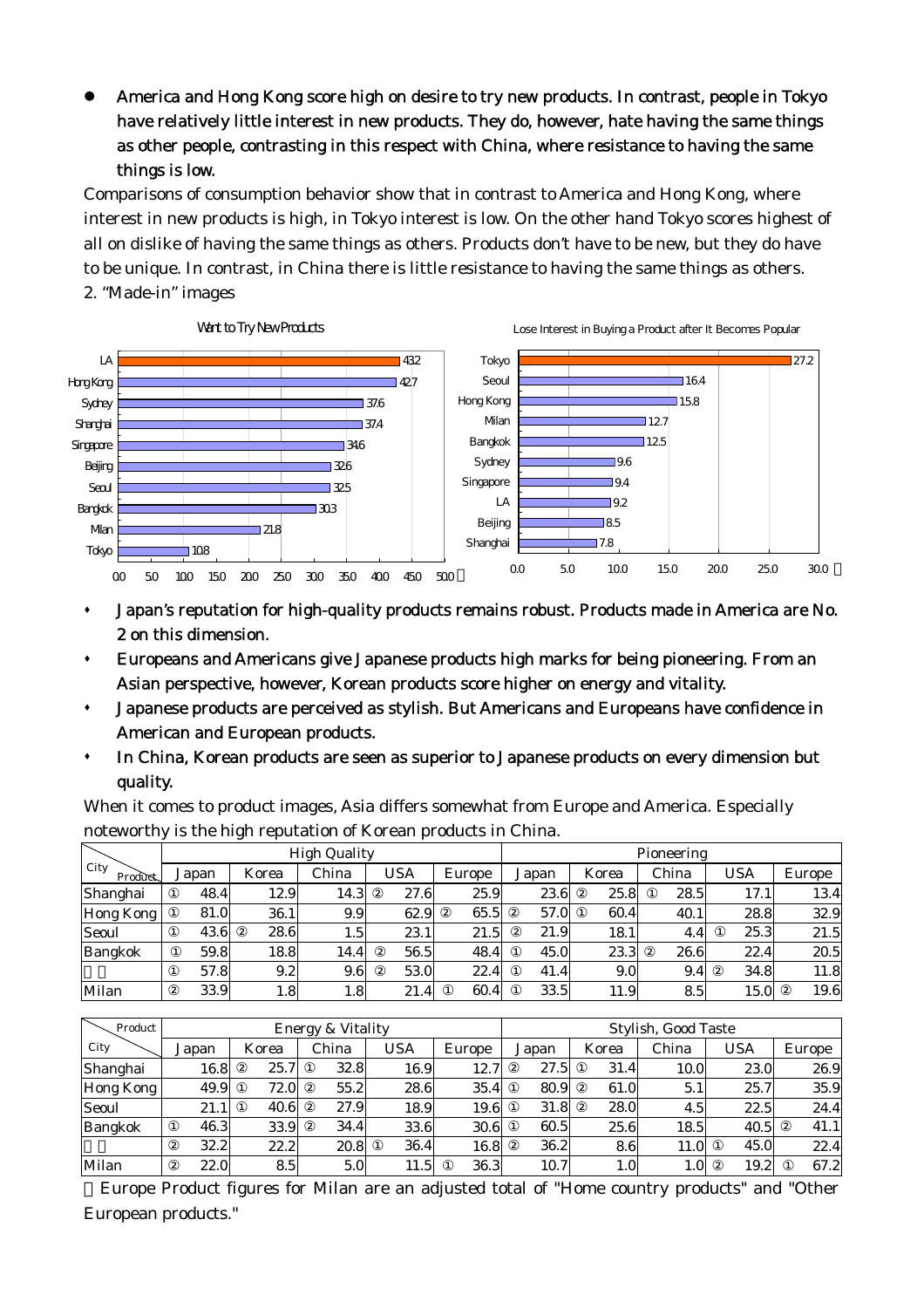America and Hong Kong score high on desire to try new products. In contrast, people in Tokyo have relatively little interest in new products. They do, however, hate having the same things as other people, contrasting in this respect with China, where resistance to having the same things is low.

Comparisons of consumption behavior show that in contrast to America and Hong Kong, where interest in new products is high, in Tokyo interest is low. On the other hand Tokyo scores highest of all on dislike of having the same things as others. Products don't have to be new, but they do have to be unique. In contrast, in China there is little resistance to having the same things as others. 2. "Made-in" images



- Japan's reputation for high-quality products remains robust. Products made in America are No. 2 on this dimension.
- Europeans and Americans give Japanese products high marks for being pioneering. From an Asian perspective, however, Korean products score higher on energy and vitality.
- Japanese products are perceived as stylish. But Americans and Europeans have confidence in American and European products.
- In China, Korean products are seen as superior to Japanese products on every dimension but quality.

When it comes to product images, Asia differs somewhat from Europe and America. Especially noteworthy is the high reputation of Korean products in China.

|                 | <b>High Quality</b> |                 |       |      |        | Pioneering |       |       |      |        |
|-----------------|---------------------|-----------------|-------|------|--------|------------|-------|-------|------|--------|
| City<br>Product | Japan               | Korea           | China | USA  | Europe | Japan      | Korea | China | USA  | Europe |
| Shanghai        | 48.4                | 12.9            | 14.3  | 27.6 | 25.9   | 23.6       | 25.8  | 28.5  | 17.1 | 13.4   |
| Hong Kong       | 81.0                | 36.1            | 9.9   | 62.9 | 65.5   | 57.0       | 60.4  | 40.1  | 28.8 | 32.9   |
| Seoul           | 43.6                | 28.6            | 1.5   | 23.1 | 21.5   | 21.9       | 18.1  | 4.4   | 25.3 | 21.5   |
| <b>Bangkok</b>  | 59.8                | 18.8            | 14.4  | 56.5 | 48.4   | 45.0       | 23.3  | 26.6  | 22.4 | 20.5   |
|                 | 57.8                | 9.2             | 9.6   | 53.0 | 22.4   | 41.4       | 9.0   | 9.4   | 34.8 | 11.8   |
| Milan           | 33.9                | $1.8^{\dagger}$ | 1.8   | 21.4 | 60.4   | 33.5       | 11.9  | 8.5   | 15.0 | 19.6   |

| Product        | Energy & Vitality |       |       |      |        | <b>Stylish, Good Taste</b> |                  |               |            |        |
|----------------|-------------------|-------|-------|------|--------|----------------------------|------------------|---------------|------------|--------|
| City           | Japan             | Korea | China | USA  | Europe | Japan                      | Korea            | China         | <b>USA</b> | Europe |
| Shanghai       | 16.8              | 25.7  | 32.8  | 16.9 | 12.7   | 27.5                       | 31.4             | 10.0          | 23.0       | 26.9   |
| Hong Kong      | 49.9              | 72.0  | 55.2  | 28.6 | 35.4   | 80.9                       | 61.0             | 5.1           | 25.7       | 35.9   |
| Seoul          | 21.1              | 40.6  | 27.9  | 18.9 | 19.6   | 31.8                       | 28.0             | 4.5           | 22.5       | 24.4   |
| <b>Bangkok</b> | 46.3              | 33.9  | 34.4  | 33.6 | 30.6   | 60.5                       | 25.6             | 18.5          | 40.5       | 41.1   |
|                | 32.2              | 22.2  | 20.8  | 36.4 | 16.8   | 36.2                       | 8.6              | 11.0          | 45.0       | 22.4   |
| Milan          | 22.0              | 8.5   | 5.0   | 11.5 | 36.3   | 10.7                       | 1.0 <sup>1</sup> | $1.0^{\circ}$ | 19.2       | 67.2   |

Europe Product figures for Milan are an adjusted total of "Home country products" and "Other European products."